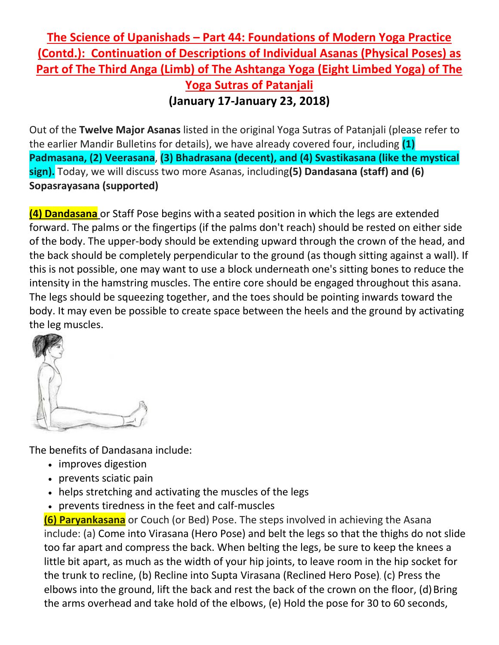## **The Science of Upanishads – Part 44: Foundations of Modern Yoga Practice (Contd.): Continuation of Descriptions of Individual Asanas (Physical Poses) as Part of The Third Anga (Limb) of The Ashtanga Yoga (Eight Limbed Yoga) of The Yoga Sutras of Patanjali (January 17-January 23, 2018)**

Out of the **Twelve Major Asanas** listed in the original Yoga Sutras of Patanjali (please refer to the earlier Mandir Bulletins for details), we have already covered four, including **(1) Padmasana, (2) Veerasana**, **(3) Bhadrasana (decent), and (4) Svastikasana (like the mystical sign).** Today, we will discuss two more Asanas, including**(5) Dandasana (staff) and (6) Sopasrayasana (supported)**

**(4) Dandasana** or Staff Pose begins witha seated position in which the legs are extended forward. The palms or the fingertips (if the palms don't reach) should be rested on either side of the body. The upper-body should be extending upward through the crown of the head, and the back should be completely perpendicular to the ground (as though sitting against a wall). If this is not possible, one may want to use a block underneath one's sitting bones to reduce the intensity in the hamstring muscles. The entire core should be engaged throughout this asana. The legs should be squeezing together, and the toes should be pointing inwards toward the body. It may even be possible to create space between the heels and the ground by activating the leg muscles.



The benefits of Dandasana include:

- improves digestion
- prevents sciatic pain
- helps stretching and activating the muscles of the legs
- prevents tiredness in the feet and calf-muscles

**(6) Paryankasana** or Couch (or Bed) Pose. The steps involved in achieving the Asana include: (a) Come into Virasana (Hero Pose) and belt the legs so that the thighs do not slide too far apart and compress the back. When belting the legs, be sure to keep the knees a little bit apart, as much as the width of your hip joints, to leave room in the hip socket for the trunk to recline, (b) Recline into Supta Virasana (Reclined Hero Pose), (c) Press the elbows into the ground, lift the back and rest the back of the crown on the floor, (d) Bring the arms overhead and take hold of the elbows, (e) Hold the pose for 30 to 60 seconds,